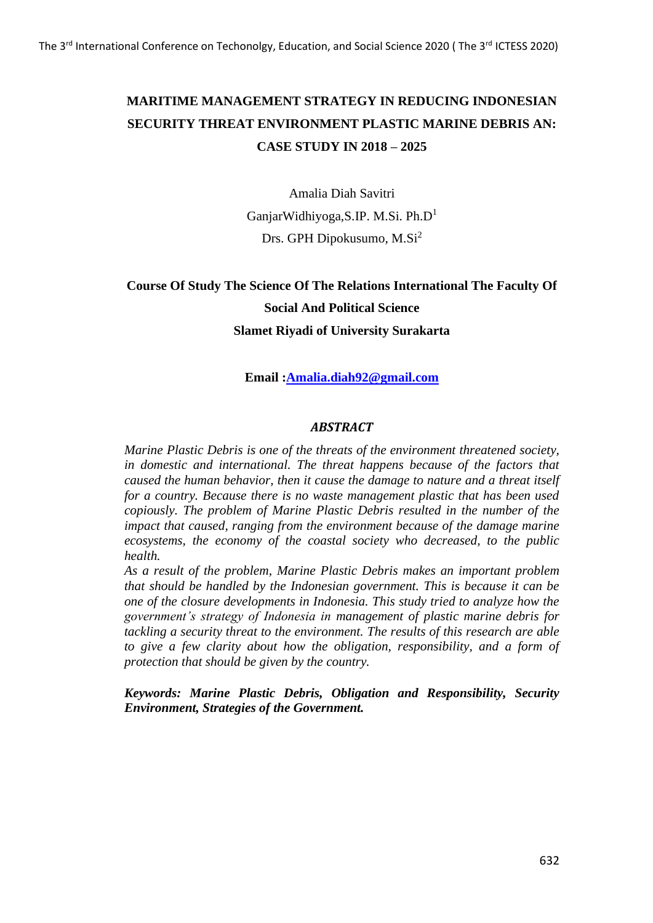# **MARITIME MANAGEMENT STRATEGY IN REDUCING INDONESIAN SECURITY THREAT ENVIRONMENT PLASTIC MARINE DEBRIS AN: CASE STUDY IN 2018 – 2025**

Amalia Diah Savitri GanjarWidhiyoga,S.IP. M.Si. Ph.D<sup>1</sup> Drs. GPH Dipokusumo, M.Si<sup>2</sup>

## **Course Of Study The Science Of The Relations International The Faculty Of Social And Political Science Slamet Riyadi of University Surakarta**

## **Email [:Amalia.diah92@gmail.com](mailto:Amalia.diah92@gmail.com)**

## *ABSTRACT*

*Marine Plastic Debris is one of the threats of the environment threatened society, in domestic and international. The threat happens because of the factors that caused the human behavior, then it cause the damage to nature and a threat itself for a country. Because there is no waste management plastic that has been used copiously. The problem of Marine Plastic Debris resulted in the number of the impact that caused, ranging from the environment because of the damage marine ecosystems, the economy of the coastal society who decreased, to the public health.*

*As a result of the problem, Marine Plastic Debris makes an important problem that should be handled by the Indonesian government. This is because it can be one of the closure developments in Indonesia. This study tried to analyze how the government's strategy of Indonesia in management of plastic marine debris for tackling a security threat to the environment. The results of this research are able to give a few clarity about how the obligation, responsibility, and a form of protection that should be given by the country.*

*Keywords: Marine Plastic Debris, Obligation and Responsibility, Security Environment, Strategies of the Government.*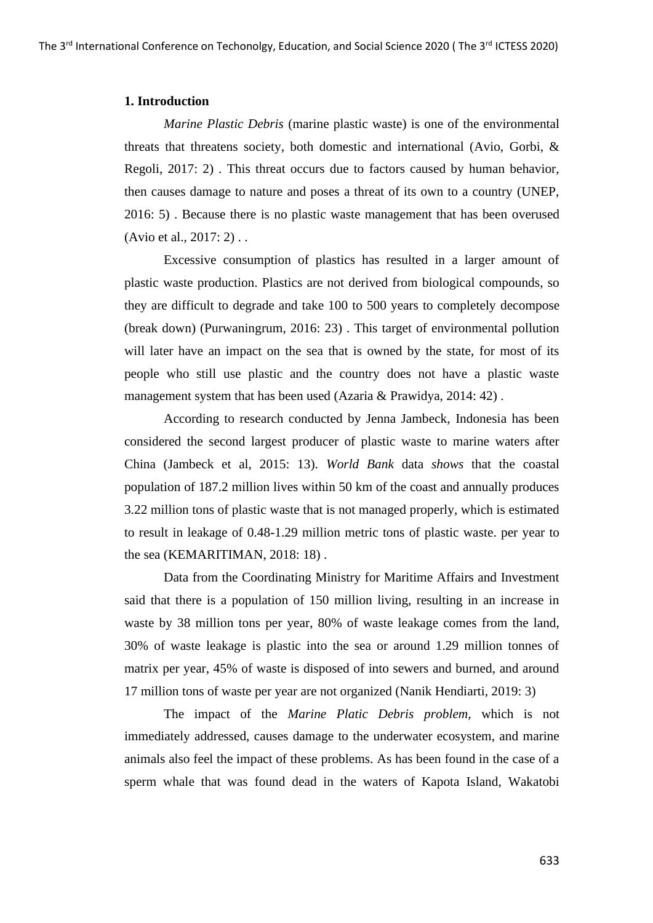## **1. Introduction**

*Marine Plastic Debris* (marine plastic waste) is one of the environmental threats that threatens society, both domestic and international (Avio, Gorbi, & Regoli, 2017: 2) . This threat occurs due to factors caused by human behavior, then causes damage to nature and poses a threat of its own to a country (UNEP, 2016: 5) . Because there is no plastic waste management that has been overused (Avio et al., 2017: 2) . .

Excessive consumption of plastics has resulted in a larger amount of plastic waste production. Plastics are not derived from biological compounds, so they are difficult to degrade and take 100 to 500 years to completely decompose (break down) (Purwaningrum, 2016: 23) . This target of environmental pollution will later have an impact on the sea that is owned by the state, for most of its people who still use plastic and the country does not have a plastic waste management system that has been used (Azaria & Prawidya, 2014: 42).

According to research conducted by Jenna Jambeck, Indonesia has been considered the second largest producer of plastic waste to marine waters after China (Jambeck et al, 2015: 13). *World Bank* data *shows* that the coastal population of 187.2 million lives within 50 km of the coast and annually produces 3.22 million tons of plastic waste that is not managed properly, which is estimated to result in leakage of 0.48-1.29 million metric tons of plastic waste. per year to the sea (KEMARITIMAN, 2018: 18) .

Data from the Coordinating Ministry for Maritime Affairs and Investment said that there is a population of 150 million living, resulting in an increase in waste by 38 million tons per year, 80% of waste leakage comes from the land, 30% of waste leakage is plastic into the sea or around 1.29 million tonnes of matrix per year, 45% of waste is disposed of into sewers and burned, and around 17 million tons of waste per year are not organized (Nanik Hendiarti, 2019: 3)

The impact of the *Marine Platic Debris problem,* which is not immediately addressed, causes damage to the underwater ecosystem, and marine animals also feel the impact of these problems. As has been found in the case of a sperm whale that was found dead in the waters of Kapota Island, Wakatobi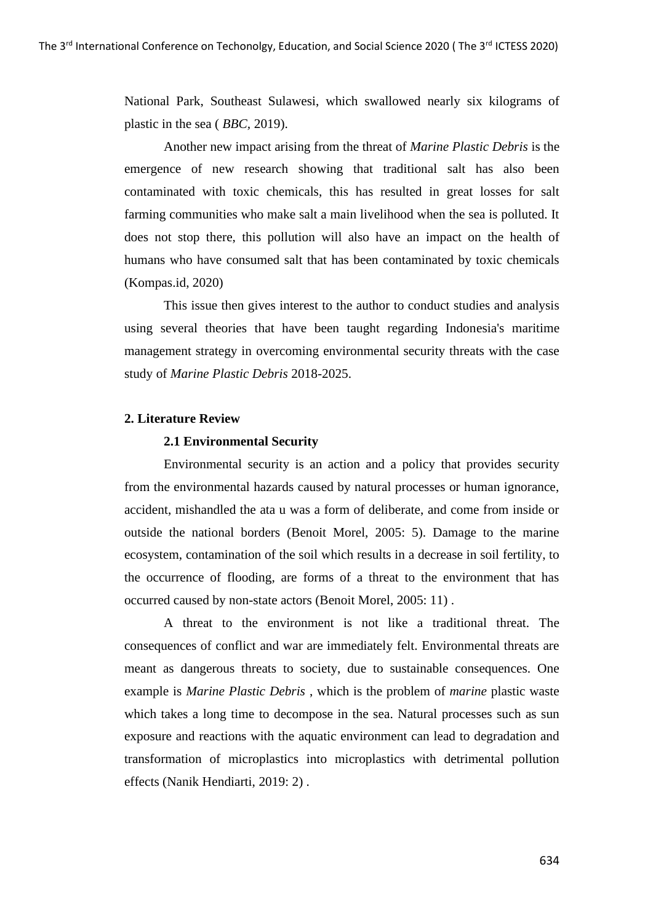National Park, Southeast Sulawesi, which swallowed nearly six kilograms of plastic in the sea ( *BBC,* 2019).

Another new impact arising from the threat of *Marine Plastic Debris* is the emergence of new research showing that traditional salt has also been contaminated with toxic chemicals, this has resulted in great losses for salt farming communities who make salt a main livelihood when the sea is polluted. It does not stop there, this pollution will also have an impact on the health of humans who have consumed salt that has been contaminated by toxic chemicals (Kompas.id, 2020)

This issue then gives interest to the author to conduct studies and analysis using several theories that have been taught regarding Indonesia's maritime management strategy in overcoming environmental security threats with the case study of *Marine Plastic Debris* 2018-2025.

#### **2. Literature Review**

## **2.1 Environmental Security**

Environmental security is an action and a policy that provides security from the environmental hazards caused by natural processes or human ignorance, accident, mishandled the ata u was a form of deliberate, and come from inside or outside the national borders (Benoit Morel, 2005: 5). Damage to the marine ecosystem, contamination of the soil which results in a decrease in soil fertility, to the occurrence of flooding, are forms of a threat to the environment that has occurred caused by non-state actors (Benoit Morel, 2005: 11) .

A threat to the environment is not like a traditional threat. The consequences of conflict and war are immediately felt. Environmental threats are meant as dangerous threats to society, due to sustainable consequences. One example is *Marine Plastic Debris* , which is the problem of *marine* plastic waste which takes a long time to decompose in the sea. Natural processes such as sun exposure and reactions with the aquatic environment can lead to degradation and transformation of microplastics into microplastics with detrimental pollution effects (Nanik Hendiarti, 2019: 2) .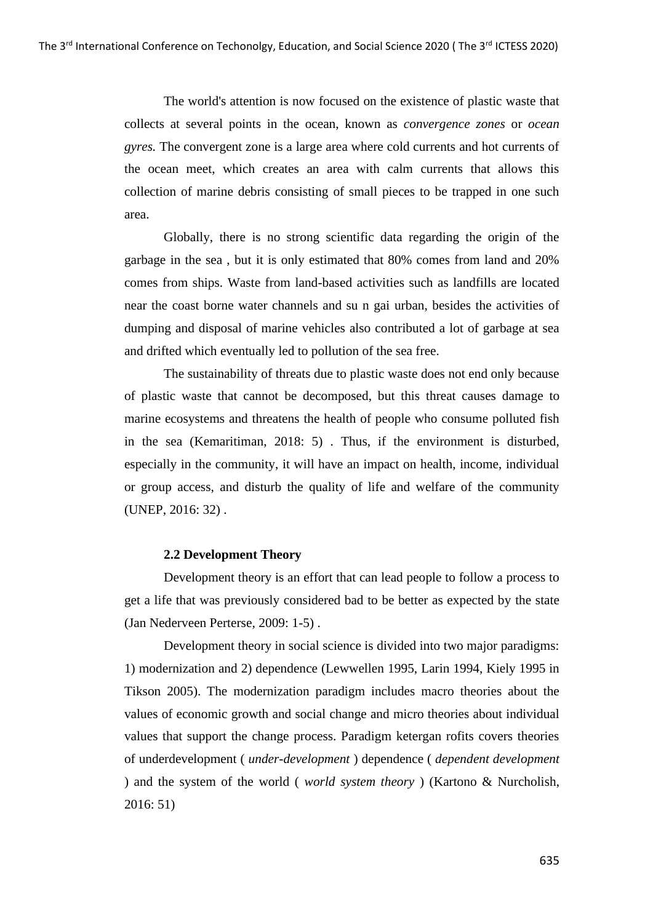The world's attention is now focused on the existence of plastic waste that collects at several points in the ocean, known as *convergence zones* or *ocean gyres.* The convergent zone is a large area where cold currents and hot currents of the ocean meet, which creates an area with calm currents that allows this collection of marine debris consisting of small pieces to be trapped in one such area.

Globally, there is no strong scientific data regarding the origin of the garbage in the sea , but it is only estimated that 80% comes from land and 20% comes from ships. Waste from land-based activities such as landfills are located near the coast borne water channels and su n gai urban, besides the activities of dumping and disposal of marine vehicles also contributed a lot of garbage at sea and drifted which eventually led to pollution of the sea free.

The sustainability of threats due to plastic waste does not end only because of plastic waste that cannot be decomposed, but this threat causes damage to marine ecosystems and threatens the health of people who consume polluted fish in the sea (Kemaritiman, 2018: 5) . Thus, if the environment is disturbed, especially in the community, it will have an impact on health, income, individual or group access, and disturb the quality of life and welfare of the community (UNEP, 2016: 32) .

## **2.2 Development Theory**

Development theory is an effort that can lead people to follow a process to get a life that was previously considered bad to be better as expected by the state (Jan Nederveen Perterse, 2009: 1-5) .

Development theory in social science is divided into two major paradigms: 1) modernization and 2) dependence (Lewwellen 1995, Larin 1994, Kiely 1995 in Tikson 2005). The modernization paradigm includes macro theories about the values of economic growth and social change and micro theories about individual values that support the change process. Paradigm ketergan rofits covers theories of underdevelopment ( *under-development* ) dependence ( *dependent development*  ) and the system of the world ( *world system theory* ) (Kartono & Nurcholish, 2016: 51)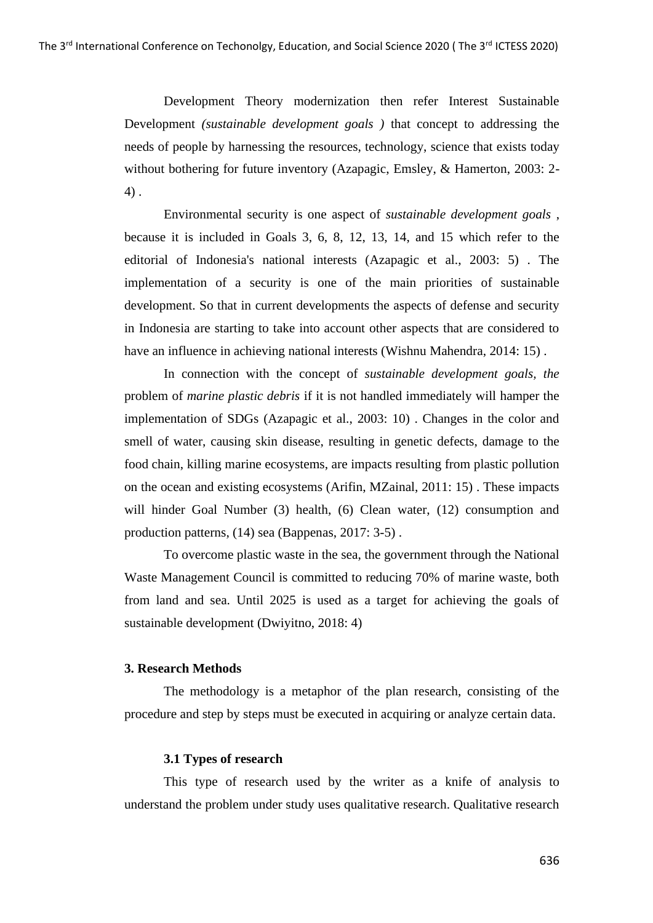Development Theory modernization then refer Interest Sustainable Development *(sustainable development goals )* that concept to addressing the needs of people by harnessing the resources, technology, science that exists today without bothering for future inventory (Azapagic, Emsley, & Hamerton, 2003: 2- 4) .

Environmental security is one aspect of *sustainable development goals* , because it is included in Goals 3, 6, 8, 12, 13, 14, and 15 which refer to the editorial of Indonesia's national interests (Azapagic et al., 2003: 5) . The implementation of a security is one of the main priorities of sustainable development. So that in current developments the aspects of defense and security in Indonesia are starting to take into account other aspects that are considered to have an influence in achieving national interests (Wishnu Mahendra, 2014: 15) .

In connection with the concept of *sustainable development goals, the*  problem of *marine plastic debris* if it is not handled immediately will hamper the implementation of SDGs (Azapagic et al., 2003: 10) . Changes in the color and smell of water, causing skin disease, resulting in genetic defects, damage to the food chain, killing marine ecosystems, are impacts resulting from plastic pollution on the ocean and existing ecosystems (Arifin, MZainal, 2011: 15) . These impacts will hinder Goal Number (3) health, (6) Clean water, (12) consumption and production patterns, (14) sea (Bappenas, 2017: 3-5) .

To overcome plastic waste in the sea, the government through the National Waste Management Council is committed to reducing 70% of marine waste, both from land and sea. Until 2025 is used as a target for achieving the goals of sustainable development (Dwiyitno, 2018: 4)

## **3. Research Methods**

The methodology is a metaphor of the plan research, consisting of the procedure and step by steps must be executed in acquiring or analyze certain data.

### **3.1 Types of research**

This type of research used by the writer as a knife of analysis to understand the problem under study uses qualitative research. Qualitative research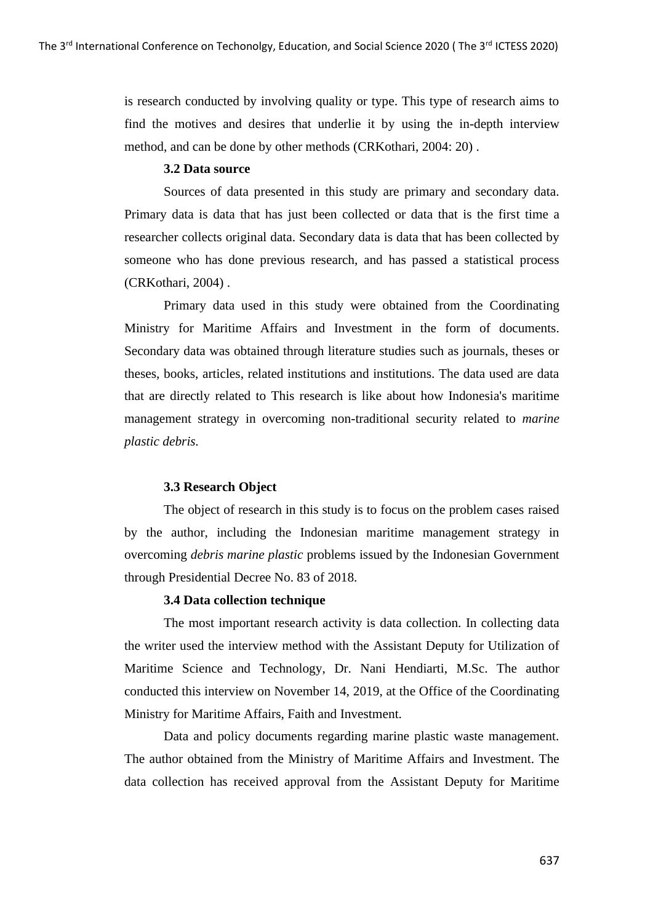is research conducted by involving quality or type. This type of research aims to find the motives and desires that underlie it by using the in-depth interview method, and can be done by other methods (CRKothari, 2004: 20) .

## **3.2 Data source**

Sources of data presented in this study are primary and secondary data. Primary data is data that has just been collected or data that is the first time a researcher collects original data. Secondary data is data that has been collected by someone who has done previous research, and has passed a statistical process (CRKothari, 2004) .

Primary data used in this study were obtained from the Coordinating Ministry for Maritime Affairs and Investment in the form of documents. Secondary data was obtained through literature studies such as journals, theses or theses, books, articles, related institutions and institutions. The data used are data that are directly related to This research is like about how Indonesia's maritime management strategy in overcoming non-traditional security related to *marine plastic debris.*

## **3.3 Research Object**

The object of research in this study is to focus on the problem cases raised by the author, including the Indonesian maritime management strategy in overcoming *debris marine plastic* problems issued by the Indonesian Government through Presidential Decree No. 83 of 2018.

### **3.4 Data collection technique**

The most important research activity is data collection. In collecting data the writer used the interview method with the Assistant Deputy for Utilization of Maritime Science and Technology, Dr. Nani Hendiarti, M.Sc. The author conducted this interview on November 14, 2019, at the Office of the Coordinating Ministry for Maritime Affairs, Faith and Investment.

Data and policy documents regarding marine plastic waste management. The author obtained from the Ministry of Maritime Affairs and Investment. The data collection has received approval from the Assistant Deputy for Maritime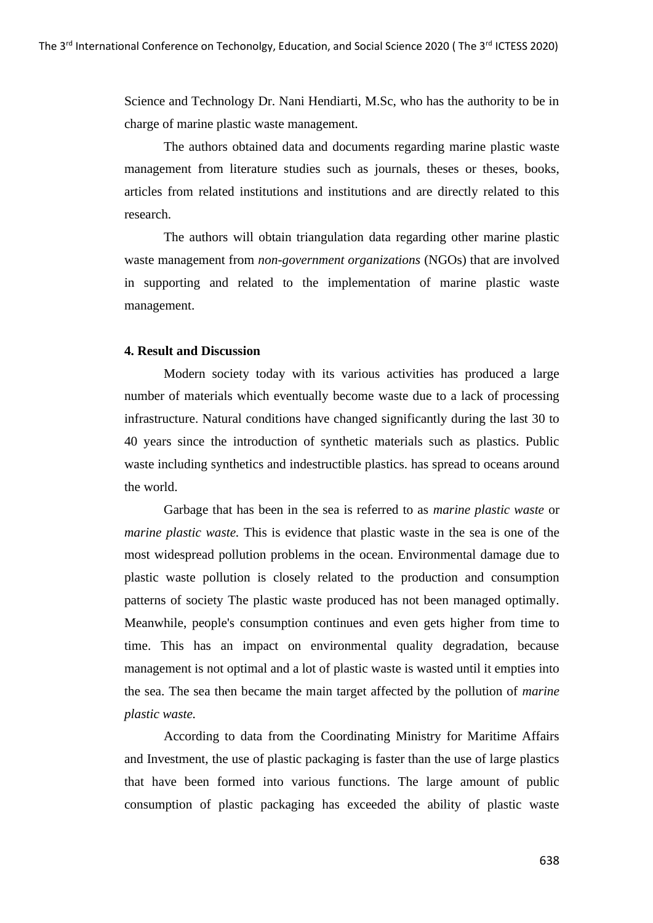Science and Technology Dr. Nani Hendiarti, M.Sc, who has the authority to be in charge of marine plastic waste management.

The authors obtained data and documents regarding marine plastic waste management from literature studies such as journals, theses or theses, books, articles from related institutions and institutions and are directly related to this research.

The authors will obtain triangulation data regarding other marine plastic waste management from *non-government organizations* (NGOs) that are involved in supporting and related to the implementation of marine plastic waste management.

## **4. Result and Discussion**

Modern society today with its various activities has produced a large number of materials which eventually become waste due to a lack of processing infrastructure. Natural conditions have changed significantly during the last 30 to 40 years since the introduction of synthetic materials such as plastics. Public waste including synthetics and indestructible plastics. has spread to oceans around the world.

Garbage that has been in the sea is referred to as *marine plastic waste* or *marine plastic waste.* This is evidence that plastic waste in the sea is one of the most widespread pollution problems in the ocean. Environmental damage due to plastic waste pollution is closely related to the production and consumption patterns of society The plastic waste produced has not been managed optimally. Meanwhile, people's consumption continues and even gets higher from time to time. This has an impact on environmental quality degradation, because management is not optimal and a lot of plastic waste is wasted until it empties into the sea. The sea then became the main target affected by the pollution of *marine plastic waste.*

According to data from the Coordinating Ministry for Maritime Affairs and Investment, the use of plastic packaging is faster than the use of large plastics that have been formed into various functions. The large amount of public consumption of plastic packaging has exceeded the ability of plastic waste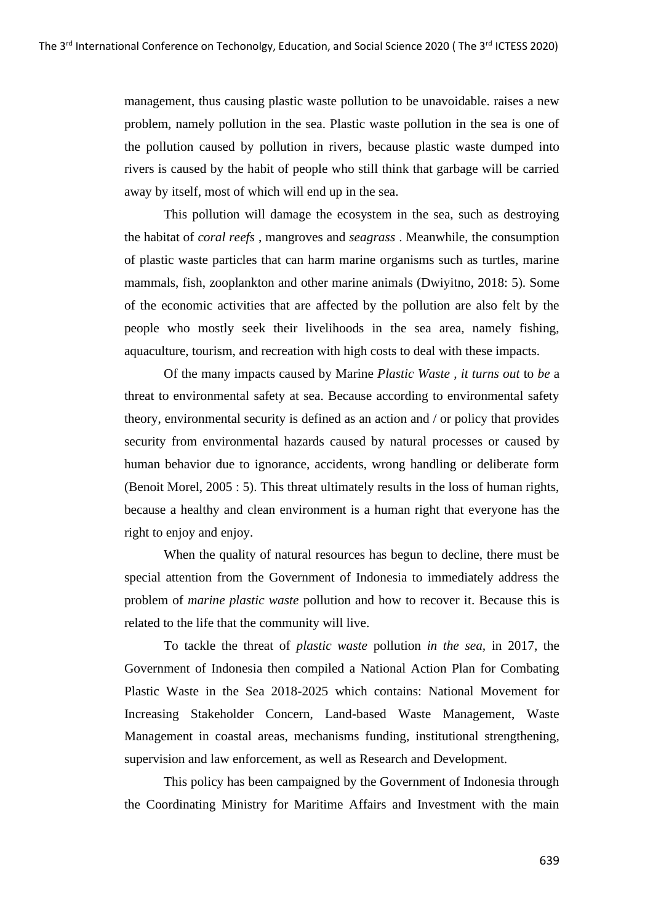management, thus causing plastic waste pollution to be unavoidable. raises a new problem, namely pollution in the sea. Plastic waste pollution in the sea is one of the pollution caused by pollution in rivers, because plastic waste dumped into rivers is caused by the habit of people who still think that garbage will be carried away by itself, most of which will end up in the sea.

This pollution will damage the ecosystem in the sea, such as destroying the habitat of *coral reefs* , mangroves and *seagrass* . Meanwhile, the consumption of plastic waste particles that can harm marine organisms such as turtles, marine mammals, fish, zooplankton and other marine animals (Dwiyitno, 2018: 5). Some of the economic activities that are affected by the pollution are also felt by the people who mostly seek their livelihoods in the sea area, namely fishing, aquaculture, tourism, and recreation with high costs to deal with these impacts.

Of the many impacts caused by Marine *Plastic Waste , it turns out* to *be* a threat to environmental safety at sea. Because according to environmental safety theory, environmental security is defined as an action and / or policy that provides security from environmental hazards caused by natural processes or caused by human behavior due to ignorance, accidents, wrong handling or deliberate form (Benoit Morel, 2005 : 5). This threat ultimately results in the loss of human rights, because a healthy and clean environment is a human right that everyone has the right to enjoy and enjoy.

When the quality of natural resources has begun to decline, there must be special attention from the Government of Indonesia to immediately address the problem of *marine plastic waste* pollution and how to recover it. Because this is related to the life that the community will live.

To tackle the threat of *plastic waste* pollution *in the sea,* in 2017, the Government of Indonesia then compiled a National Action Plan for Combating Plastic Waste in the Sea 2018-2025 which contains: National Movement for Increasing Stakeholder Concern, Land-based Waste Management, Waste Management in coastal areas, mechanisms funding, institutional strengthening, supervision and law enforcement, as well as Research and Development.

This policy has been campaigned by the Government of Indonesia through the Coordinating Ministry for Maritime Affairs and Investment with the main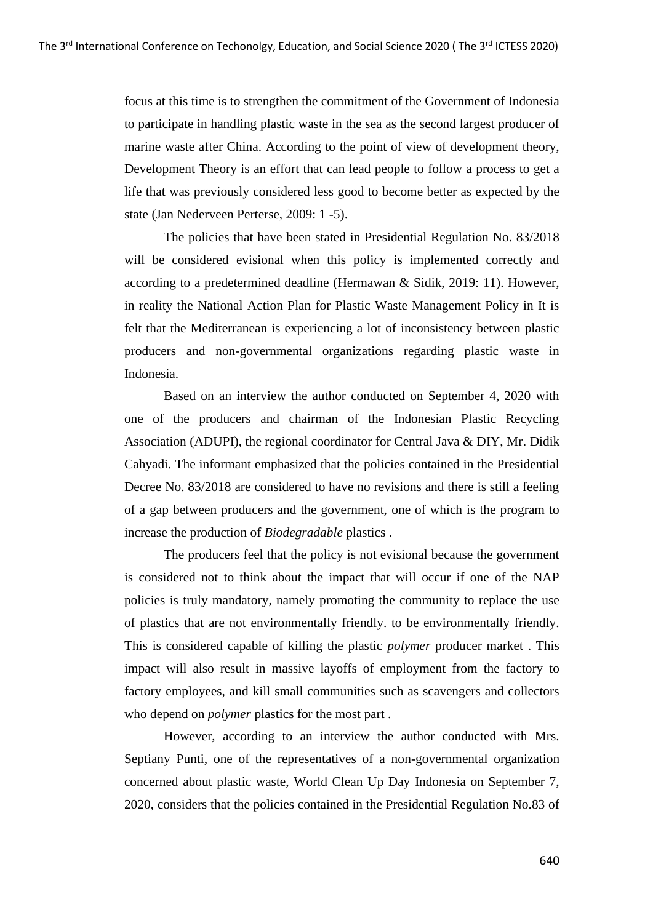focus at this time is to strengthen the commitment of the Government of Indonesia to participate in handling plastic waste in the sea as the second largest producer of marine waste after China. According to the point of view of development theory, Development Theory is an effort that can lead people to follow a process to get a life that was previously considered less good to become better as expected by the state (Jan Nederveen Perterse, 2009: 1 -5).

The policies that have been stated in Presidential Regulation No. 83/2018 will be considered evisional when this policy is implemented correctly and according to a predetermined deadline (Hermawan & Sidik, 2019: 11). However, in reality the National Action Plan for Plastic Waste Management Policy in It is felt that the Mediterranean is experiencing a lot of inconsistency between plastic producers and non-governmental organizations regarding plastic waste in Indonesia.

Based on an interview the author conducted on September 4, 2020 with one of the producers and chairman of the Indonesian Plastic Recycling Association (ADUPI), the regional coordinator for Central Java & DIY, Mr. Didik Cahyadi. The informant emphasized that the policies contained in the Presidential Decree No. 83/2018 are considered to have no revisions and there is still a feeling of a gap between producers and the government, one of which is the program to increase the production of *Biodegradable* plastics .

The producers feel that the policy is not evisional because the government is considered not to think about the impact that will occur if one of the NAP policies is truly mandatory, namely promoting the community to replace the use of plastics that are not environmentally friendly. to be environmentally friendly. This is considered capable of killing the plastic *polymer* producer market . This impact will also result in massive layoffs of employment from the factory to factory employees, and kill small communities such as scavengers and collectors who depend on *polymer* plastics for the most part .

However, according to an interview the author conducted with Mrs. Septiany Punti, one of the representatives of a non-governmental organization concerned about plastic waste, World Clean Up Day Indonesia on September 7, 2020, considers that the policies contained in the Presidential Regulation No.83 of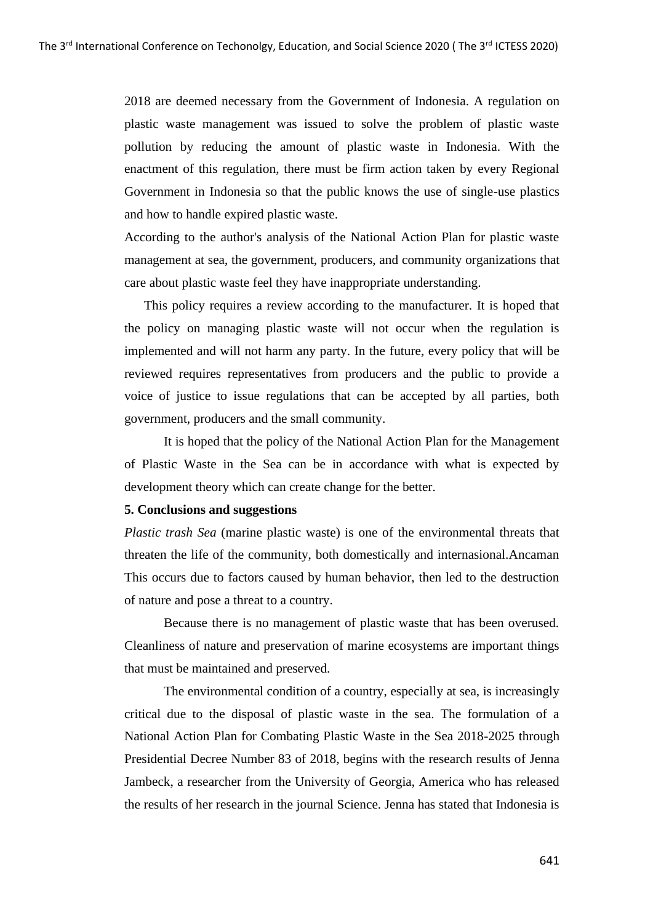2018 are deemed necessary from the Government of Indonesia. A regulation on plastic waste management was issued to solve the problem of plastic waste pollution by reducing the amount of plastic waste in Indonesia. With the enactment of this regulation, there must be firm action taken by every Regional Government in Indonesia so that the public knows the use of single-use plastics and how to handle expired plastic waste.

According to the author's analysis of the National Action Plan for plastic waste management at sea, the government, producers, and community organizations that care about plastic waste feel they have inappropriate understanding.

This policy requires a review according to the manufacturer. It is hoped that the policy on managing plastic waste will not occur when the regulation is implemented and will not harm any party. In the future, every policy that will be reviewed requires representatives from producers and the public to provide a voice of justice to issue regulations that can be accepted by all parties, both government, producers and the small community.

It is hoped that the policy of the National Action Plan for the Management of Plastic Waste in the Sea can be in accordance with what is expected by development theory which can create change for the better.

## **5. Conclusions and suggestions**

*Plastic trash Sea* (marine plastic waste) is one of the environmental threats that threaten the life of the community, both domestically and internasional.Ancaman This occurs due to factors caused by human behavior, then led to the destruction of nature and pose a threat to a country.

Because there is no management of plastic waste that has been overused. Cleanliness of nature and preservation of marine ecosystems are important things that must be maintained and preserved.

The environmental condition of a country, especially at sea, is increasingly critical due to the disposal of plastic waste in the sea. The formulation of a National Action Plan for Combating Plastic Waste in the Sea 2018-2025 through Presidential Decree Number 83 of 2018, begins with the research results of Jenna Jambeck, a researcher from the University of Georgia, America who has released the results of her research in the journal Science. Jenna has stated that Indonesia is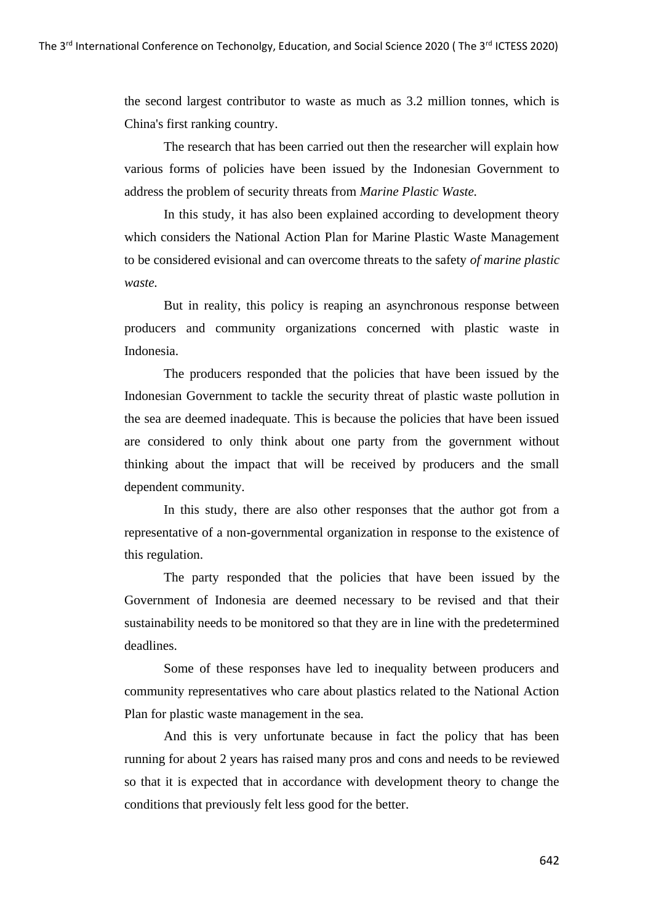the second largest contributor to waste as much as 3.2 million tonnes, which is China's first ranking country.

The research that has been carried out then the researcher will explain how various forms of policies have been issued by the Indonesian Government to address the problem of security threats from *Marine Plastic Waste.*

In this study, it has also been explained according to development theory which considers the National Action Plan for Marine Plastic Waste Management to be considered evisional and can overcome threats to the safety *of marine plastic waste.*

But in reality, this policy is reaping an asynchronous response between producers and community organizations concerned with plastic waste in Indonesia.

The producers responded that the policies that have been issued by the Indonesian Government to tackle the security threat of plastic waste pollution in the sea are deemed inadequate. This is because the policies that have been issued are considered to only think about one party from the government without thinking about the impact that will be received by producers and the small dependent community.

In this study, there are also other responses that the author got from a representative of a non-governmental organization in response to the existence of this regulation.

The party responded that the policies that have been issued by the Government of Indonesia are deemed necessary to be revised and that their sustainability needs to be monitored so that they are in line with the predetermined deadlines.

Some of these responses have led to inequality between producers and community representatives who care about plastics related to the National Action Plan for plastic waste management in the sea.

And this is very unfortunate because in fact the policy that has been running for about 2 years has raised many pros and cons and needs to be reviewed so that it is expected that in accordance with development theory to change the conditions that previously felt less good for the better.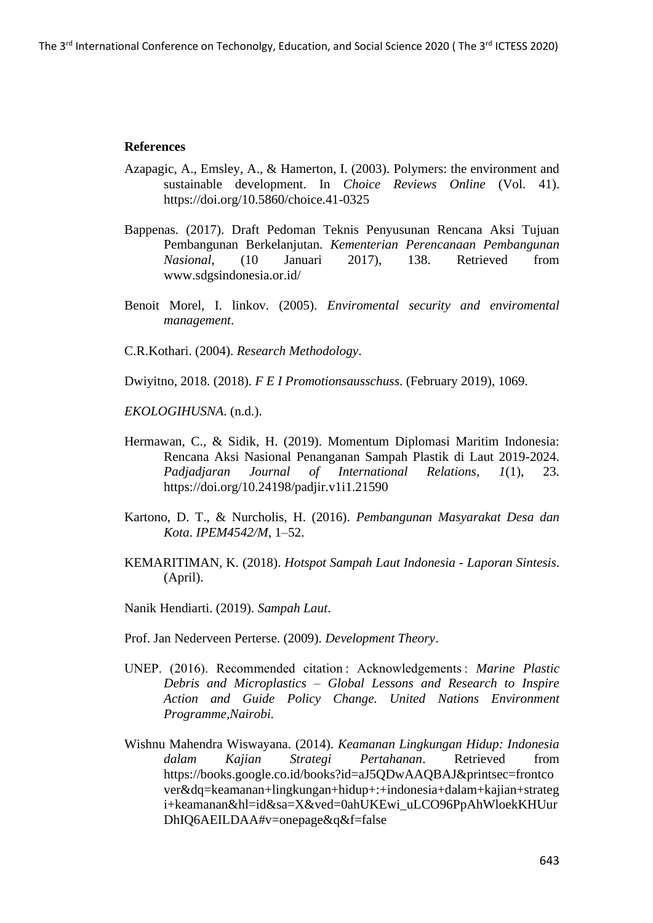## **References**

- Azapagic, A., Emsley, A., & Hamerton, I. (2003). Polymers: the environment and sustainable development. In *Choice Reviews Online* (Vol. 41). https://doi.org/10.5860/choice.41-0325
- Bappenas. (2017). Draft Pedoman Teknis Penyusunan Rencana Aksi Tujuan Pembangunan Berkelanjutan. *Kementerian Perencanaan Pembangunan Nasional*, (10 Januari 2017), 138. Retrieved from www.sdgsindonesia.or.id/
- Benoit Morel, I. linkov. (2005). *Enviromental security and enviromental management*.

C.R.Kothari. (2004). *Research Methodology*.

Dwiyitno, 2018. (2018). *F E I Promotionsausschuss*. (February 2019), 1069.

*EKOLOGIHUSNA*. (n.d.).

- Hermawan, C., & Sidik, H. (2019). Momentum Diplomasi Maritim Indonesia: Rencana Aksi Nasional Penanganan Sampah Plastik di Laut 2019-2024. *Padjadjaran Journal of International Relations*, *1*(1), 23. https://doi.org/10.24198/padjir.v1i1.21590
- Kartono, D. T., & Nurcholis, H. (2016). *Pembangunan Masyarakat Desa dan Kota*. *IPEM4542/M*, 1–52.
- KEMARITIMAN, K. (2018). *Hotspot Sampah Laut Indonesia - Laporan Sintesis*. (April).

Nanik Hendiarti. (2019). *Sampah Laut*.

- Prof. Jan Nederveen Perterse. (2009). *Development Theory*.
- UNEP. (2016). Recommended citation : Acknowledgements : *Marine Plastic Debris and Microplastics – Global Lessons and Research to Inspire Action and Guide Policy Change. United Nations Environment Programme,Nairobi.*
- Wishnu Mahendra Wiswayana. (2014). *Keamanan Lingkungan Hidup: Indonesia dalam Kajian Strategi Pertahanan*. Retrieved from https://books.google.co.id/books?id=aJ5QDwAAQBAJ&printsec=frontco ver&dq=keamanan+lingkungan+hidup+:+indonesia+dalam+kajian+strateg i+keamanan&hl=id&sa=X&ved=0ahUKEwi\_uLCO96PpAhWloekKHUur DhIQ6AEILDAA#v=onepage&q&f=false